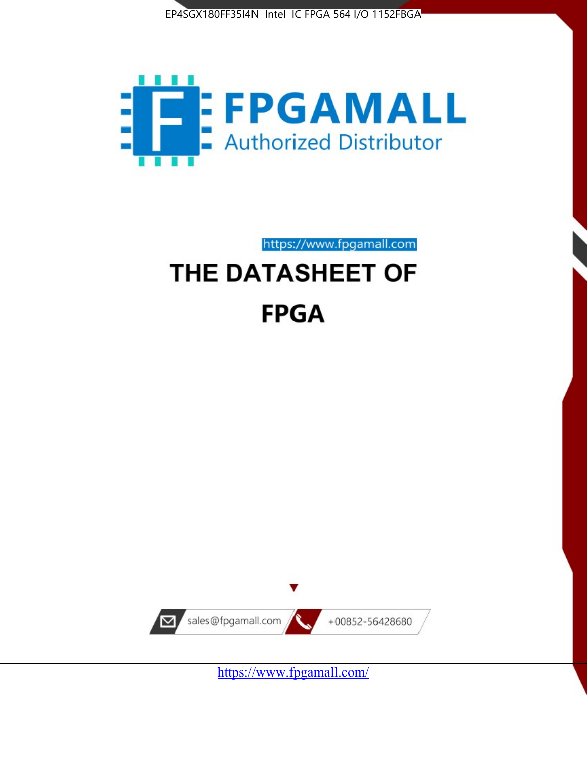



https://www.fpgamall.com

# THE DATASHEET OF **FPGA**



<https://www.fpgamall.com/>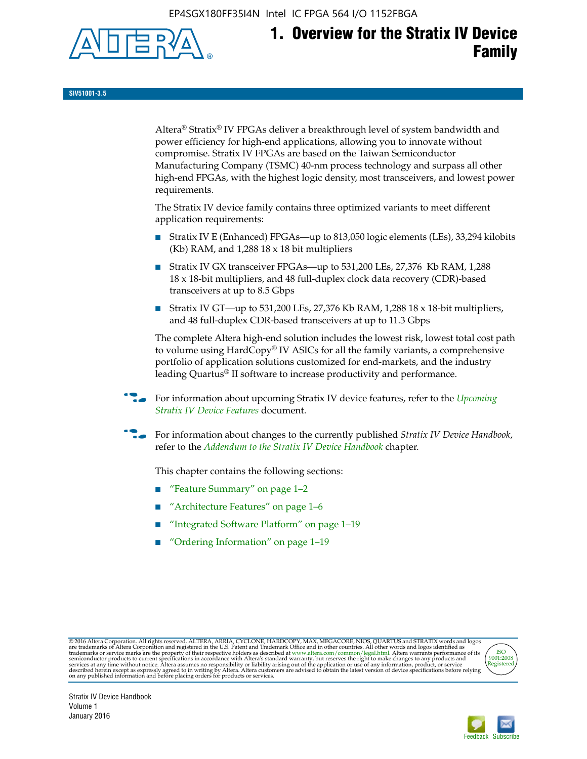EP4SGX180FF35I4N Intel IC FPGA 564 I/O 1152FBGA



# **1. Overview for the Stratix IV Device Family**

**SIV51001-3.5**

Altera® Stratix® IV FPGAs deliver a breakthrough level of system bandwidth and power efficiency for high-end applications, allowing you to innovate without compromise. Stratix IV FPGAs are based on the Taiwan Semiconductor Manufacturing Company (TSMC) 40-nm process technology and surpass all other high-end FPGAs, with the highest logic density, most transceivers, and lowest power requirements.

The Stratix IV device family contains three optimized variants to meet different application requirements:

- Stratix IV E (Enhanced) FPGAs—up to 813,050 logic elements (LEs), 33,294 kilobits (Kb) RAM, and 1,288 18 x 18 bit multipliers
- Stratix IV GX transceiver FPGAs—up to 531,200 LEs, 27,376 Kb RAM, 1,288 18 x 18-bit multipliers, and 48 full-duplex clock data recovery (CDR)-based transceivers at up to 8.5 Gbps
- Stratix IV GT—up to 531,200 LEs, 27,376 Kb RAM, 1,288 18 x 18-bit multipliers, and 48 full-duplex CDR-based transceivers at up to 11.3 Gbps

The complete Altera high-end solution includes the lowest risk, lowest total cost path to volume using HardCopy® IV ASICs for all the family variants, a comprehensive portfolio of application solutions customized for end-markets, and the industry leading Quartus® II software to increase productivity and performance.

f For information about upcoming Stratix IV device features, refer to the *[Upcoming](http://www.altera.com/literature/hb/stratix-iv/uf01001.pdf?GSA_pos=2&WT.oss_r=1&WT.oss=upcoming)  [Stratix IV Device Features](http://www.altera.com/literature/hb/stratix-iv/uf01001.pdf?GSA_pos=2&WT.oss_r=1&WT.oss=upcoming)* document.

f For information about changes to the currently published *Stratix IV Device Handbook*, refer to the *[Addendum to the Stratix IV Device Handbook](http://www.altera.com/literature/hb/stratix-iv/stx4_siv54002.pdf)* chapter.

This chapter contains the following sections:

- "Feature Summary" on page 1–2
- "Architecture Features" on page 1–6
- "Integrated Software Platform" on page 1–19
- "Ordering Information" on page 1–19

@2016 Altera Corporation. All rights reserved. ALTERA, ARRIA, CYCLONE, HARDCOPY, MAX, MEGACORE, NIOS, QUARTUS and STRATIX words and logos are trademarks of Altera Corporation and registered in the U.S. Patent and Trademark



Stratix IV Device Handbook Volume 1 January 2016

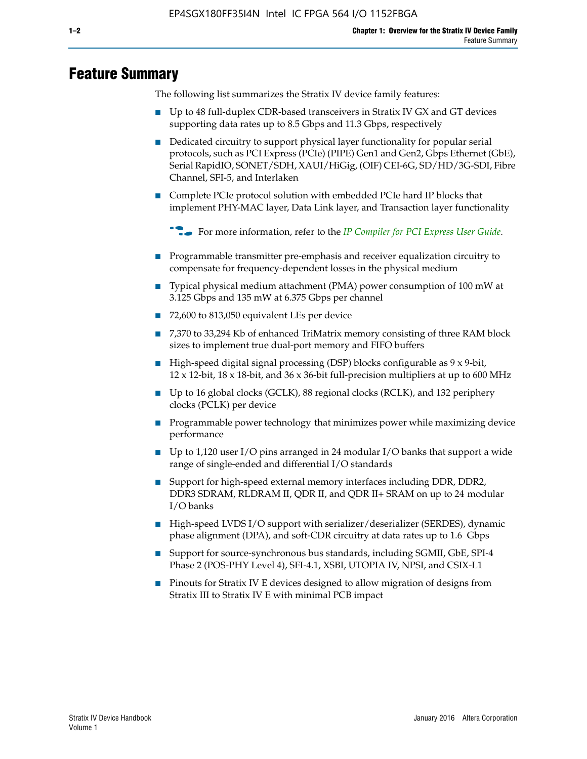# **Feature Summary**

The following list summarizes the Stratix IV device family features:

- Up to 48 full-duplex CDR-based transceivers in Stratix IV GX and GT devices supporting data rates up to 8.5 Gbps and 11.3 Gbps, respectively
- Dedicated circuitry to support physical layer functionality for popular serial protocols, such as PCI Express (PCIe) (PIPE) Gen1 and Gen2, Gbps Ethernet (GbE), Serial RapidIO, SONET/SDH, XAUI/HiGig, (OIF) CEI-6G, SD/HD/3G-SDI, Fibre Channel, SFI-5, and Interlaken
- Complete PCIe protocol solution with embedded PCIe hard IP blocks that implement PHY-MAC layer, Data Link layer, and Transaction layer functionality

**For more information, refer to the** *[IP Compiler for PCI Express User Guide](http://www.altera.com/literature/ug/ug_pci_express.pdf)***.** 

- Programmable transmitter pre-emphasis and receiver equalization circuitry to compensate for frequency-dependent losses in the physical medium
- Typical physical medium attachment (PMA) power consumption of 100 mW at 3.125 Gbps and 135 mW at 6.375 Gbps per channel
- 72,600 to 813,050 equivalent LEs per device
- 7,370 to 33,294 Kb of enhanced TriMatrix memory consisting of three RAM block sizes to implement true dual-port memory and FIFO buffers
- High-speed digital signal processing (DSP) blocks configurable as 9 x 9-bit,  $12 \times 12$ -bit,  $18 \times 18$ -bit, and  $36 \times 36$ -bit full-precision multipliers at up to 600 MHz
- Up to 16 global clocks (GCLK), 88 regional clocks (RCLK), and 132 periphery clocks (PCLK) per device
- Programmable power technology that minimizes power while maximizing device performance
- Up to 1,120 user I/O pins arranged in 24 modular I/O banks that support a wide range of single-ended and differential I/O standards
- Support for high-speed external memory interfaces including DDR, DDR2, DDR3 SDRAM, RLDRAM II, QDR II, and QDR II+ SRAM on up to 24 modular I/O banks
- High-speed LVDS I/O support with serializer/deserializer (SERDES), dynamic phase alignment (DPA), and soft-CDR circuitry at data rates up to 1.6 Gbps
- Support for source-synchronous bus standards, including SGMII, GbE, SPI-4 Phase 2 (POS-PHY Level 4), SFI-4.1, XSBI, UTOPIA IV, NPSI, and CSIX-L1
- Pinouts for Stratix IV E devices designed to allow migration of designs from Stratix III to Stratix IV E with minimal PCB impact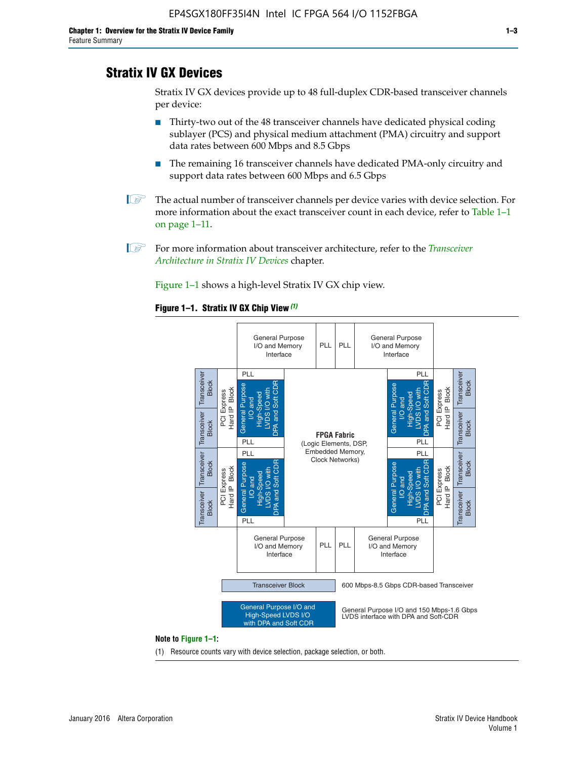# **Stratix IV GX Devices**

Stratix IV GX devices provide up to 48 full-duplex CDR-based transceiver channels per device:

- Thirty-two out of the 48 transceiver channels have dedicated physical coding sublayer (PCS) and physical medium attachment (PMA) circuitry and support data rates between 600 Mbps and 8.5 Gbps
- The remaining 16 transceiver channels have dedicated PMA-only circuitry and support data rates between 600 Mbps and 6.5 Gbps
- **1 The actual number of transceiver channels per device varies with device selection. For** more information about the exact transceiver count in each device, refer to Table 1–1 on page 1–11.
- 1 For more information about transceiver architecture, refer to the *[Transceiver](http://www.altera.com/literature/hb/stratix-iv/stx4_siv52001.pdf)  [Architecture in Stratix IV Devices](http://www.altera.com/literature/hb/stratix-iv/stx4_siv52001.pdf)* chapter.

Figure 1–1 shows a high-level Stratix IV GX chip view.

#### **Figure 1–1. Stratix IV GX Chip View** *(1)*



#### **Note to Figure 1–1:**

(1) Resource counts vary with device selection, package selection, or both.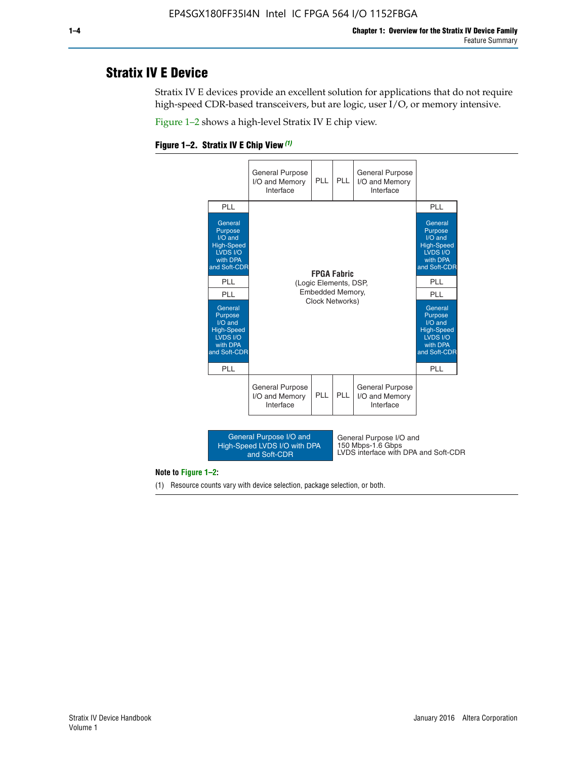# **Stratix IV E Device**

Stratix IV E devices provide an excellent solution for applications that do not require high-speed CDR-based transceivers, but are logic, user I/O, or memory intensive.

Figure 1–2 shows a high-level Stratix IV E chip view.





#### **Note to Figure 1–2:**

(1) Resource counts vary with device selection, package selection, or both.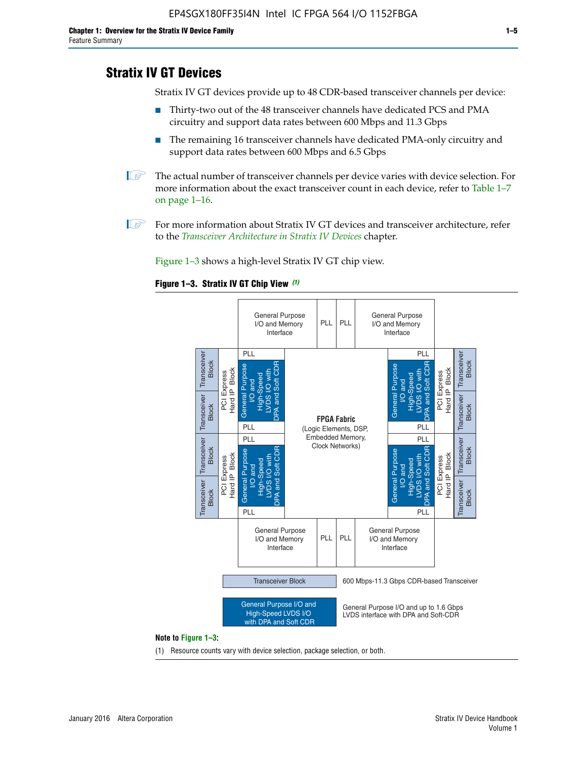# **Stratix IV GT Devices**

Stratix IV GT devices provide up to 48 CDR-based transceiver channels per device:

- Thirty-two out of the 48 transceiver channels have dedicated PCS and PMA circuitry and support data rates between 600 Mbps and 11.3 Gbps
- The remaining 16 transceiver channels have dedicated PMA-only circuitry and support data rates between 600 Mbps and 6.5 Gbps
- **1** The actual number of transceiver channels per device varies with device selection. For more information about the exact transceiver count in each device, refer to Table 1–7 on page 1–16.
- $\mathbb{I}$  For more information about Stratix IV GT devices and transceiver architecture, refer to the *[Transceiver Architecture in Stratix IV Devices](http://www.altera.com/literature/hb/stratix-iv/stx4_siv52001.pdf)* chapter.

Figure 1–3 shows a high-level Stratix IV GT chip view.

#### **Figure 1–3. Stratix IV GT Chip View** *(1)*



#### **Note to Figure 1–3:**

(1) Resource counts vary with device selection, package selection, or both.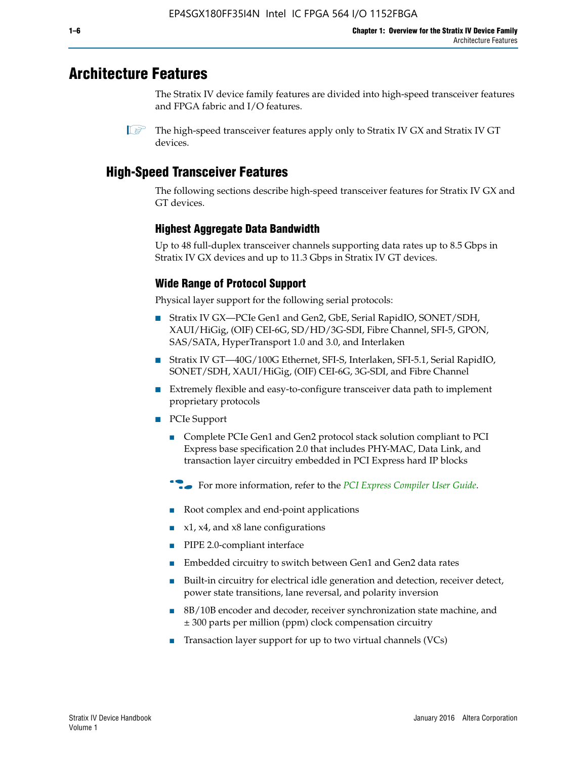# **Architecture Features**

The Stratix IV device family features are divided into high-speed transceiver features and FPGA fabric and I/O features.

 $\mathbb{I}$  The high-speed transceiver features apply only to Stratix IV GX and Stratix IV GT devices.

# **High-Speed Transceiver Features**

The following sections describe high-speed transceiver features for Stratix IV GX and GT devices.

# **Highest Aggregate Data Bandwidth**

Up to 48 full-duplex transceiver channels supporting data rates up to 8.5 Gbps in Stratix IV GX devices and up to 11.3 Gbps in Stratix IV GT devices.

# **Wide Range of Protocol Support**

Physical layer support for the following serial protocols:

- Stratix IV GX—PCIe Gen1 and Gen2, GbE, Serial RapidIO, SONET/SDH, XAUI/HiGig, (OIF) CEI-6G, SD/HD/3G-SDI, Fibre Channel, SFI-5, GPON, SAS/SATA, HyperTransport 1.0 and 3.0, and Interlaken
- Stratix IV GT—40G/100G Ethernet, SFI-S, Interlaken, SFI-5.1, Serial RapidIO, SONET/SDH, XAUI/HiGig, (OIF) CEI-6G, 3G-SDI, and Fibre Channel
- Extremely flexible and easy-to-configure transceiver data path to implement proprietary protocols
- PCIe Support
	- Complete PCIe Gen1 and Gen2 protocol stack solution compliant to PCI Express base specification 2.0 that includes PHY-MAC, Data Link, and transaction layer circuitry embedded in PCI Express hard IP blocks
	- **For more information, refer to the [PCI Express Compiler User Guide](http://www.altera.com/literature/ug/ug_pci_express.pdf).**
	- Root complex and end-point applications
	- $x1, x4,$  and  $x8$  lane configurations
	- PIPE 2.0-compliant interface
	- Embedded circuitry to switch between Gen1 and Gen2 data rates
	- Built-in circuitry for electrical idle generation and detection, receiver detect, power state transitions, lane reversal, and polarity inversion
	- 8B/10B encoder and decoder, receiver synchronization state machine, and ± 300 parts per million (ppm) clock compensation circuitry
	- Transaction layer support for up to two virtual channels (VCs)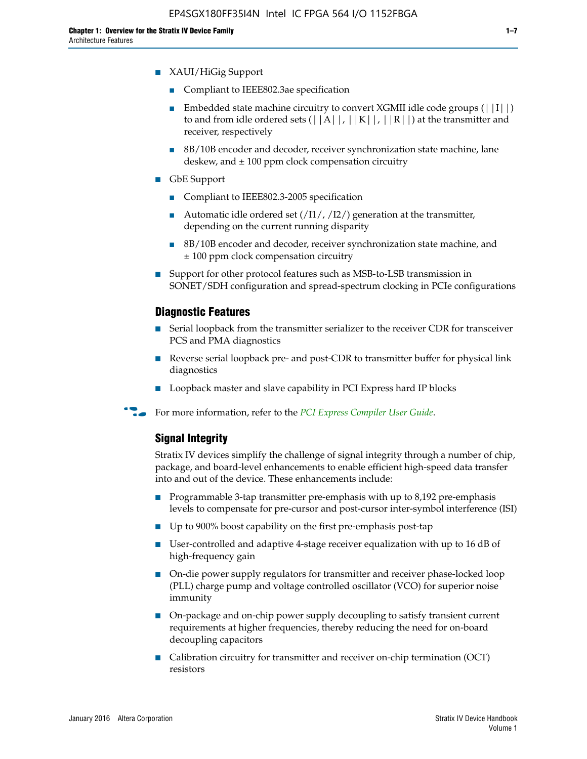- XAUI/HiGig Support
	- Compliant to IEEE802.3ae specification
	- **■** Embedded state machine circuitry to convert XGMII idle code groups  $(|11|)$ to and from idle ordered sets  $(|A|, |K|, |R|)$  at the transmitter and receiver, respectively
	- 8B/10B encoder and decoder, receiver synchronization state machine, lane deskew, and  $\pm$  100 ppm clock compensation circuitry
- GbE Support
	- Compliant to IEEE802.3-2005 specification
	- Automatic idle ordered set  $(111/112/1)$  generation at the transmitter, depending on the current running disparity
	- 8B/10B encoder and decoder, receiver synchronization state machine, and ± 100 ppm clock compensation circuitry
- Support for other protocol features such as MSB-to-LSB transmission in SONET/SDH configuration and spread-spectrum clocking in PCIe configurations

#### **Diagnostic Features**

- Serial loopback from the transmitter serializer to the receiver CDR for transceiver PCS and PMA diagnostics
- Reverse serial loopback pre- and post-CDR to transmitter buffer for physical link diagnostics
- Loopback master and slave capability in PCI Express hard IP blocks
- **For more information, refer to the** *[PCI Express Compiler User Guide](http://www.altera.com/literature/ug/ug_pci_express.pdf)***.**

#### **Signal Integrity**

Stratix IV devices simplify the challenge of signal integrity through a number of chip, package, and board-level enhancements to enable efficient high-speed data transfer into and out of the device. These enhancements include:

- Programmable 3-tap transmitter pre-emphasis with up to 8,192 pre-emphasis levels to compensate for pre-cursor and post-cursor inter-symbol interference (ISI)
- Up to 900% boost capability on the first pre-emphasis post-tap
- User-controlled and adaptive 4-stage receiver equalization with up to 16 dB of high-frequency gain
- On-die power supply regulators for transmitter and receiver phase-locked loop (PLL) charge pump and voltage controlled oscillator (VCO) for superior noise immunity
- On-package and on-chip power supply decoupling to satisfy transient current requirements at higher frequencies, thereby reducing the need for on-board decoupling capacitors
- Calibration circuitry for transmitter and receiver on-chip termination (OCT) resistors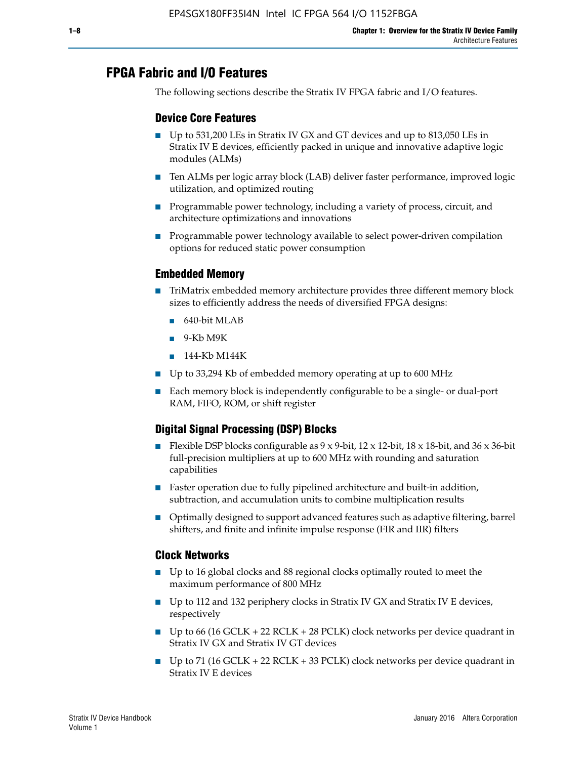# **FPGA Fabric and I/O Features**

The following sections describe the Stratix IV FPGA fabric and I/O features.

## **Device Core Features**

- Up to 531,200 LEs in Stratix IV GX and GT devices and up to 813,050 LEs in Stratix IV E devices, efficiently packed in unique and innovative adaptive logic modules (ALMs)
- Ten ALMs per logic array block (LAB) deliver faster performance, improved logic utilization, and optimized routing
- Programmable power technology, including a variety of process, circuit, and architecture optimizations and innovations
- Programmable power technology available to select power-driven compilation options for reduced static power consumption

## **Embedded Memory**

- TriMatrix embedded memory architecture provides three different memory block sizes to efficiently address the needs of diversified FPGA designs:
	- 640-bit MLAB
	- 9-Kb M9K
	- 144-Kb M144K
- Up to 33,294 Kb of embedded memory operating at up to 600 MHz
- Each memory block is independently configurable to be a single- or dual-port RAM, FIFO, ROM, or shift register

## **Digital Signal Processing (DSP) Blocks**

- Flexible DSP blocks configurable as  $9 \times 9$ -bit,  $12 \times 12$ -bit,  $18 \times 18$ -bit, and  $36 \times 36$ -bit full-precision multipliers at up to 600 MHz with rounding and saturation capabilities
- Faster operation due to fully pipelined architecture and built-in addition, subtraction, and accumulation units to combine multiplication results
- Optimally designed to support advanced features such as adaptive filtering, barrel shifters, and finite and infinite impulse response (FIR and IIR) filters

#### **Clock Networks**

- Up to 16 global clocks and 88 regional clocks optimally routed to meet the maximum performance of 800 MHz
- Up to 112 and 132 periphery clocks in Stratix IV GX and Stratix IV E devices, respectively
- Up to 66 (16 GCLK + 22 RCLK + 28 PCLK) clock networks per device quadrant in Stratix IV GX and Stratix IV GT devices
- Up to 71 (16 GCLK + 22 RCLK + 33 PCLK) clock networks per device quadrant in Stratix IV E devices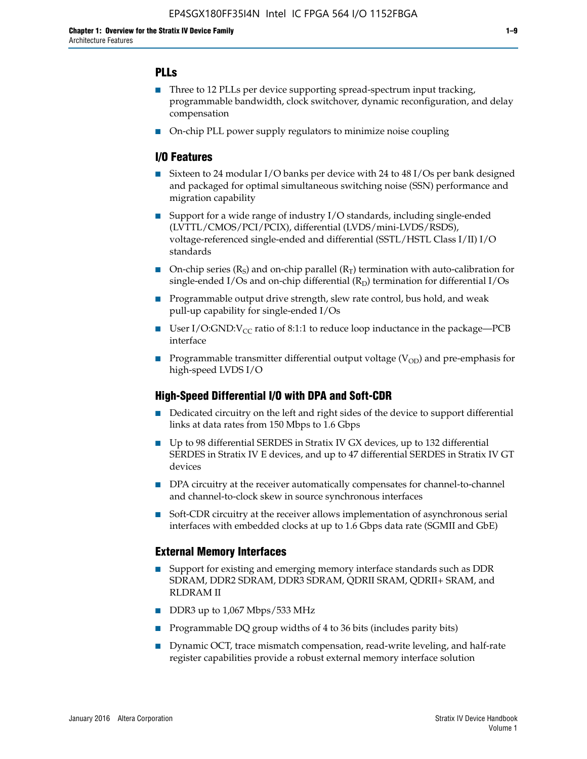## **PLLs**

- Three to 12 PLLs per device supporting spread-spectrum input tracking, programmable bandwidth, clock switchover, dynamic reconfiguration, and delay compensation
- On-chip PLL power supply regulators to minimize noise coupling

## **I/O Features**

- Sixteen to 24 modular I/O banks per device with 24 to 48 I/Os per bank designed and packaged for optimal simultaneous switching noise (SSN) performance and migration capability
- Support for a wide range of industry I/O standards, including single-ended (LVTTL/CMOS/PCI/PCIX), differential (LVDS/mini-LVDS/RSDS), voltage-referenced single-ended and differential (SSTL/HSTL Class I/II) I/O standards
- **O**n-chip series  $(R_S)$  and on-chip parallel  $(R_T)$  termination with auto-calibration for single-ended I/Os and on-chip differential  $(R_D)$  termination for differential I/Os
- Programmable output drive strength, slew rate control, bus hold, and weak pull-up capability for single-ended I/Os
- User I/O:GND: $V_{CC}$  ratio of 8:1:1 to reduce loop inductance in the package—PCB interface
- **■** Programmable transmitter differential output voltage ( $V_{OD}$ ) and pre-emphasis for high-speed LVDS I/O

#### **High-Speed Differential I/O with DPA and Soft-CDR**

- Dedicated circuitry on the left and right sides of the device to support differential links at data rates from 150 Mbps to 1.6 Gbps
- Up to 98 differential SERDES in Stratix IV GX devices, up to 132 differential SERDES in Stratix IV E devices, and up to 47 differential SERDES in Stratix IV GT devices
- DPA circuitry at the receiver automatically compensates for channel-to-channel and channel-to-clock skew in source synchronous interfaces
- Soft-CDR circuitry at the receiver allows implementation of asynchronous serial interfaces with embedded clocks at up to 1.6 Gbps data rate (SGMII and GbE)

#### **External Memory Interfaces**

- Support for existing and emerging memory interface standards such as DDR SDRAM, DDR2 SDRAM, DDR3 SDRAM, QDRII SRAM, QDRII+ SRAM, and RLDRAM II
- DDR3 up to 1,067 Mbps/533 MHz
- Programmable DQ group widths of 4 to 36 bits (includes parity bits)
- Dynamic OCT, trace mismatch compensation, read-write leveling, and half-rate register capabilities provide a robust external memory interface solution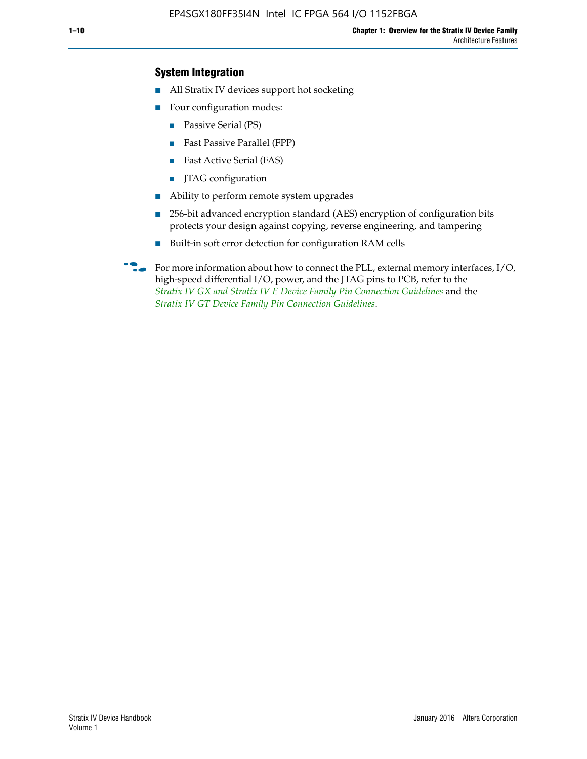## **System Integration**

- All Stratix IV devices support hot socketing
- Four configuration modes:
	- Passive Serial (PS)
	- Fast Passive Parallel (FPP)
	- Fast Active Serial (FAS)
	- JTAG configuration
- Ability to perform remote system upgrades
- 256-bit advanced encryption standard (AES) encryption of configuration bits protects your design against copying, reverse engineering, and tampering
- Built-in soft error detection for configuration RAM cells
- For more information about how to connect the PLL, external memory interfaces,  $I/O$ , high-speed differential I/O, power, and the JTAG pins to PCB, refer to the *[Stratix IV GX and Stratix IV E Device Family Pin Connection Guidelines](http://www.altera.com/literature/dp/stratix4/PCG-01005.pdf)* and the *[Stratix IV GT Device Family Pin Connection Guidelines](http://www.altera.com/literature/dp/stratix4/PCG-01006.pdf)*.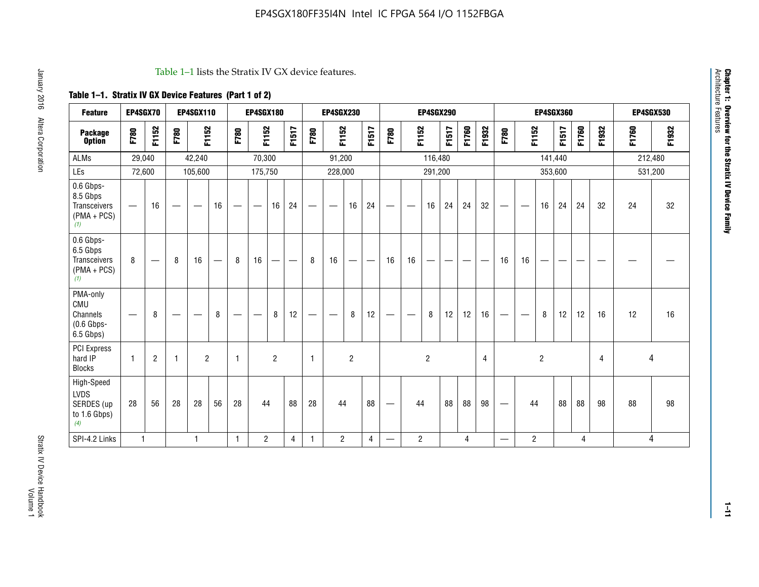#### Table 1–1 lists the Stratix IV GX device features.

# **Table 1–1. Stratix IV GX Device Features (Part 1 of 2)**

| <b>Feature</b>                                                | EP4SGX70                       |                |                   | <b>EP4SGX110</b>  |    |                                | <b>EP4SGX180</b>               |                |       |              | <b>EP4SGX230</b>              |                |                               |                                |                | <b>EP4SGX290</b> |       |       |       |                          |                   |                | <b>EP4SGX360</b> |       |       |       | <b>EP4SGX530</b> |
|---------------------------------------------------------------|--------------------------------|----------------|-------------------|-------------------|----|--------------------------------|--------------------------------|----------------|-------|--------------|-------------------------------|----------------|-------------------------------|--------------------------------|----------------|------------------|-------|-------|-------|--------------------------|-------------------|----------------|------------------|-------|-------|-------|------------------|
| <b>Package</b><br><b>Option</b>                               | F780                           | F1152          | F780              | F1152             |    | F780                           | F1152                          |                | F1517 | F780         | F1152                         |                | F1517                         | F780                           | F1152          |                  | F1517 | F1760 | F1932 | F780                     | F1152             |                | F1517            | F1760 | F1932 | F1760 | F1932            |
| <b>ALMs</b>                                                   | 29,040                         |                |                   | 42,240            |    |                                | 70,300                         |                |       |              | 91,200                        |                |                               |                                |                | 116,480          |       |       |       |                          |                   |                | 141,440          |       |       |       | 212,480          |
| LEs                                                           | 72,600                         |                |                   | 105,600           |    |                                | 175,750                        |                |       |              | 228,000                       |                |                               |                                |                | 291,200          |       |       |       |                          |                   | 353,600        |                  |       |       |       | 531,200          |
| 0.6 Gbps-<br>8.5 Gbps<br>Transceivers<br>$(PMA + PCs)$<br>(1) |                                | 16             | $\hspace{0.05cm}$ | $\hspace{0.05cm}$ | 16 | $\qquad \qquad \longleftarrow$ | $\hspace{0.05cm}$              | 16             | 24    |              | $\overbrace{\phantom{aaaaa}}$ | 16             | 24                            | —                              |                | 16               | 24    | 24    | 32    | $\overline{\phantom{0}}$ | $\hspace{0.05cm}$ | 16             | 24               | 24    | 32    | 24    | 32               |
| 0.6 Gbps-<br>6.5 Gbps<br>Transceivers<br>$(PMA + PCS)$<br>(1) | 8                              |                | 8                 | 16                | —  | 8                              | 16                             | -              | —     | 8            | 16                            | —              | $\overbrace{\phantom{aaaaa}}$ | 16                             | 16             |                  |       |       |       | 16                       | 16                |                |                  |       |       |       |                  |
| PMA-only<br>CMU<br>Channels<br>$(0.6$ Gbps-<br>6.5 Gbps)      | $\qquad \qquad \longleftarrow$ | 8              | $\hspace{0.05cm}$ |                   | 8  | $\qquad \qquad \longleftarrow$ | $\qquad \qquad \longleftarrow$ | 8              | 12    | -            | $\overline{\phantom{a}}$      | 8              | 12                            | $\qquad \qquad \longleftarrow$ |                | 8                | 12    | 12    | 16    |                          | $\hspace{0.05cm}$ | 8              | 12               | 12    | 16    | 12    | 16               |
| PCI Express<br>hard IP<br><b>Blocks</b>                       | $\mathbf{1}$                   | $\overline{2}$ | -1                | $\overline{2}$    |    | 1                              |                                | $\overline{2}$ |       | $\mathbf{1}$ |                               | $\overline{c}$ |                               |                                |                | $\overline{c}$   |       |       | 4     |                          |                   | $\overline{2}$ |                  |       | 4     |       | 4                |
| High-Speed<br>LVDS<br>SERDES (up<br>to 1.6 Gbps)<br>(4)       | 28                             | 56             | 28                | 28                | 56 | 28                             | 44                             |                | 88    | 28           | 44                            |                | 88                            | —                              | 44             |                  | 88    | 88    | 98    |                          | 44                |                | 88               | 88    | 98    | 88    | 98               |
| SPI-4.2 Links                                                 | $\mathbf{1}$                   |                |                   | 1                 |    | $\mathbf{1}$                   | $\overline{c}$                 |                | 4     | $\mathbf{1}$ | $\overline{c}$                |                | $\overline{4}$                | —                              | $\overline{2}$ |                  |       | 4     |       | $\overline{\phantom{0}}$ | $\overline{2}$    |                |                  | 4     |       |       | 4                |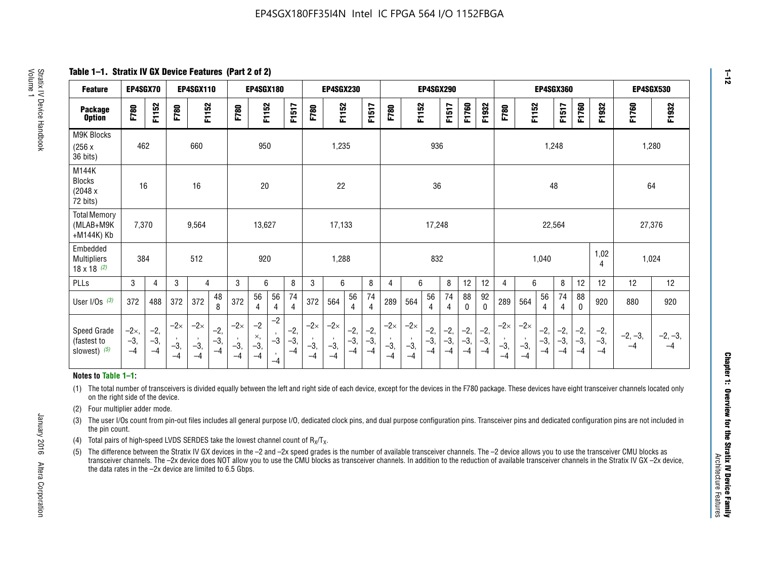**Table 1–1. Stratix IV GX Device Features (Part 2 of 2)**

| <b>Feature</b>                                       | EP4SGX70                      |                        |                             | <b>EP4SGX110</b>            |                      |                             | <b>EP4SGX180</b>          |                                                 |                        |                             | <b>EP4SGX230</b>            |                        |                        |                             |                             | <b>EP4SGX290</b>       |                        |                      |                        |                             |                             |                        | <b>EP4SGX360</b>     |                        |                        | EP4SGX530         |                   |
|------------------------------------------------------|-------------------------------|------------------------|-----------------------------|-----------------------------|----------------------|-----------------------------|---------------------------|-------------------------------------------------|------------------------|-----------------------------|-----------------------------|------------------------|------------------------|-----------------------------|-----------------------------|------------------------|------------------------|----------------------|------------------------|-----------------------------|-----------------------------|------------------------|----------------------|------------------------|------------------------|-------------------|-------------------|
| <b>Package</b><br><b>Option</b>                      | F780                          | F1152                  | F780                        | F1152                       |                      | F780                        | F1152                     |                                                 | F1517                  | F780                        | F1152                       |                        | <b>F1517</b>           | F780                        | F1152                       |                        | F1517                  | F1760                | F1932                  | F780                        | F1152                       |                        | F1517                | F1760                  | F1932                  | F1760             | F1932             |
| M9K Blocks<br>(256x)<br>36 bits)                     | 462                           |                        |                             | 660                         |                      |                             | 950                       |                                                 |                        |                             | 1,235                       |                        |                        |                             |                             | 936                    |                        |                      |                        |                             |                             | 1,248                  |                      |                        |                        | 1,280             |                   |
| M144K<br><b>Blocks</b><br>(2048 x<br>72 bits)        | 16                            |                        |                             | 16                          |                      |                             | 20                        |                                                 |                        |                             | 22                          |                        |                        |                             |                             | 36                     |                        |                      |                        |                             |                             | 48                     |                      |                        |                        | 64                |                   |
| <b>Total Memory</b><br>(MLAB+M9K<br>+M144K) Kb       | 7,370                         |                        |                             | 9,564                       |                      |                             | 13,627                    |                                                 |                        |                             | 17,133                      |                        |                        |                             |                             | 17,248                 |                        |                      |                        |                             |                             | 22,564                 |                      |                        |                        | 27,376            |                   |
| Embedded<br><b>Multipliers</b><br>$18 \times 18$ (2) | 384                           |                        |                             | 512                         |                      |                             | 920                       |                                                 |                        |                             | 1,288                       |                        |                        |                             |                             | 832                    |                        |                      |                        |                             |                             | 1,040                  |                      |                        | 1,02<br>4              | 1,024             |                   |
| PLLs                                                 | 3                             | $\overline{4}$         | 3                           | 4                           |                      | 3                           | 6                         |                                                 | 8                      | 3                           | 6                           |                        | 8                      | 4                           | 6                           |                        | 8                      | 12                   | 12                     | 4                           | 6                           |                        | 8                    | 12                     | 12                     | 12                | 12                |
| User $I/Os$ (3)                                      | 372                           | 488                    | 372                         | 372                         | 48<br>8              | 372                         | 56<br>4                   | 56<br>4                                         | 74<br>$\overline{4}$   | 372                         | 564                         | 56<br>$\overline{4}$   | 74<br>$\overline{4}$   | 289                         | 564                         | 56<br>4                | 74<br>4                | 88<br>0              | 92<br>$\mathbf 0$      | 289                         | 564                         | 56<br>4                | 74<br>4              | 88<br>$\mathbf{0}$     | 920                    | 880               | 920               |
| Speed Grade<br>(fastest to<br>slowest) (5)           | $-2\times$ ,<br>$-3,$<br>$-4$ | $-2,$<br>$-3,$<br>$-4$ | $-2\times$<br>$-3,$<br>$-4$ | $-2\times$<br>$-3,$<br>$-4$ | $-2,$<br>-3,<br>$-4$ | $-2\times$<br>$-3,$<br>$-4$ | $-2$<br>×,<br>$-3,$<br>-4 | $-2$<br>$\cdot$<br>$-3$<br>$\mathbf{r}$<br>$-4$ | $-2,$<br>$-3,$<br>$-4$ | $-2\times$<br>$-3,$<br>$-4$ | $-2\times$<br>$-3,$<br>$-4$ | $-2,$<br>$-3,$<br>$-4$ | $-2,$<br>$-3,$<br>$-4$ | $-2\times$<br>$-3,$<br>$-4$ | $-2\times$<br>$-3,$<br>$-4$ | $-2,$<br>$-3,$<br>$-4$ | $-2,$<br>$-3,$<br>$-4$ | $-2,$<br>-3,<br>$-4$ | $-2,$<br>$-3,$<br>$-4$ | $-2\times$<br>$-3,$<br>$-4$ | $-2\times$<br>$-3,$<br>$-4$ | $-2,$<br>$-3,$<br>$-4$ | $-2,$<br>-3,<br>$-4$ | $-2,$<br>$-3,$<br>$-4$ | $-2,$<br>$-3,$<br>$-4$ | $-2, -3,$<br>$-4$ | $-2, -3,$<br>$-4$ |

#### **Notes to Table 1–1:**

(1) The total number of transceivers is divided equally between the left and right side of each device, except for the devices in the F780 package. These devices have eight transceiver channels located only on the right side of the device.

- (2) Four multiplier adder mode.
- (3) The user I/Os count from pin-out files includes all general purpose I/O, dedicated clock pins, and dual purpose configuration pins. Transceiver pins and dedicated configuration pins are not included in the pin count.
- (4) Total pairs of high-speed LVDS SERDES take the lowest channel count of  $R_X/T_X$ .
- (5) The difference between the Stratix IV GX devices in the –2 and –2x speed grades is the number of available transceiver channels. The –2 device allows you to use the transceiver CMU blocks as transceiver channels. The –2x device does NOT allow you to use the CMU blocks as transceiver channels. In addition to the reduction of available transceiver channels in the Stratix IV GX –2x device, the data rates in the –2x device are limited to 6.5 Gbps.

January 2016 Altera Corporation

Altera Corporation

January 2016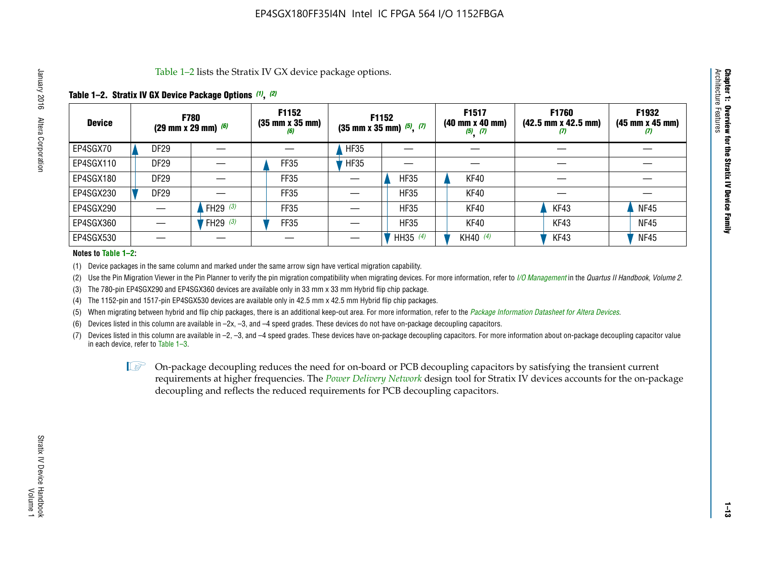Table 1–2 lists the Stratix IV GX device package options.

## **Table 1–2. Stratix IV GX Device Package Options** *(1)***,** *(2)*

| <b>Device</b> |                  | <b>F780</b><br>(29 mm x 29 mm) $(6)$ | F1152<br>$(35 \, \text{mm} \times 35 \, \text{mm})$<br>(6) | F1152<br>$(35$ mm x 35 mm) $(5)$ , $(7)$ |             | F1517<br>$(40 \, \text{mm} \times 40 \, \text{mm})$<br>$(5)$ $(7)$ | <b>F1760</b><br>$(42.5 \text{ mm} \times 42.5 \text{ mm})$<br>$\boldsymbol{U}$ | F1932<br>$(45 \, \text{mm} \times 45 \, \text{mm})$<br>(7) |
|---------------|------------------|--------------------------------------|------------------------------------------------------------|------------------------------------------|-------------|--------------------------------------------------------------------|--------------------------------------------------------------------------------|------------------------------------------------------------|
| EP4SGX70      | <b>DF29</b>      |                                      |                                                            | <b>HF35</b>                              |             |                                                                    |                                                                                |                                                            |
| EP4SGX110     | DF <sub>29</sub> |                                      | FF35                                                       | <b>HF35</b>                              |             |                                                                    |                                                                                |                                                            |
| EP4SGX180     | <b>DF29</b>      |                                      | FF35                                                       |                                          | <b>HF35</b> | KF40                                                               |                                                                                |                                                            |
| EP4SGX230     | <b>DF29</b>      |                                      | FF35                                                       |                                          | <b>HF35</b> | KF40                                                               |                                                                                |                                                            |
| EP4SGX290     |                  | FH29 $(3)$                           | <b>FF35</b>                                                |                                          | <b>HF35</b> | KF40                                                               | KF43                                                                           | <b>NF45</b>                                                |
| EP4SGX360     |                  | FH29 $(3)$                           | FF35                                                       |                                          | <b>HF35</b> | KF40                                                               | KF43                                                                           | <b>NF45</b>                                                |
| EP4SGX530     |                  |                                      |                                                            |                                          | HH35 $(4)$  | KH40 (4)                                                           | KF43                                                                           | <b>NF45</b>                                                |

#### **Notes to Table 1–2:**

(1) Device packages in the same column and marked under the same arrow sign have vertical migration capability.

(2) Use the Pin Migration Viewer in the Pin Planner to verify the pin migration compatibility when migrating devices. For more information, refer to *[I/O Management](http://www.altera.com/literature/hb/qts/qts_qii52013.pdf)* in the *Quartus II Handbook, Volume 2*.

(3) The 780-pin EP4SGX290 and EP4SGX360 devices are available only in 33 mm x 33 mm Hybrid flip chip package.

(4) The 1152-pin and 1517-pin EP4SGX530 devices are available only in 42.5 mm x 42.5 mm Hybrid flip chip packages.

(5) When migrating between hybrid and flip chip packages, there is an additional keep-out area. For more information, refer to the *[Package Information Datasheet for Altera Devices](http://www.altera.com/literature/ds/dspkg.pdf)*.

(6) Devices listed in this column are available in –2x, –3, and –4 speed grades. These devices do not have on-package decoupling capacitors.

(7) Devices listed in this column are available in –2, –3, and –4 speed grades. These devices have on-package decoupling capacitors. For more information about on-package decoupling capacitor value in each device, refer to Table 1–3.

 $\mathbb{L}$ s On-package decoupling reduces the need for on-board or PCB decoupling capacitors by satisfying the transient current requirements at higher frequencies. The *[Power Delivery Network](http://www.altera.com/literature/ug/pdn_tool_stxiv.zip)* design tool for Stratix IV devices accounts for the on-package decoupling and reflects the reduced requirements for PCB decoupling capacitors.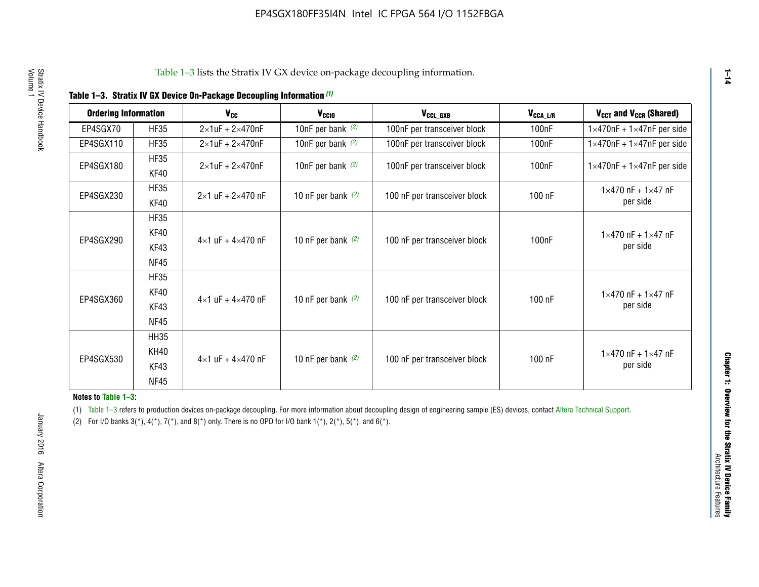|  |  | Table 1-3. Stratix IV GX Device On-Package Decoupling Information (1) |  |  |
|--|--|-----------------------------------------------------------------------|--|--|
|--|--|-----------------------------------------------------------------------|--|--|

| <b>Ordering Information</b> |                     | <b>V<sub>cc</sub></b>               | V <sub>ccio</sub>    | V <sub>CCL GXB</sub>         | V <sub>CCA_L/R</sub> | V <sub>CCT</sub> and V <sub>CCR</sub> (Shared)   |
|-----------------------------|---------------------|-------------------------------------|----------------------|------------------------------|----------------------|--------------------------------------------------|
| EP4SGX70                    | <b>HF35</b>         | $2\times1$ uF + $2\times470$ nF     | 10nF per bank $(2)$  | 100nF per transceiver block  | 100 <sub>n</sub> F   | $1 \times 470$ nF + $1 \times 47$ nF per side    |
| EP4SGX110                   | <b>HF35</b>         | $2\times1$ uF + $2\times470$ nF     | 10nF per bank $(2)$  | 100nF per transceiver block  | 100 <sub>n</sub> F   | $1\times470$ nF + $1\times47$ nF per side        |
| EP4SGX180                   | <b>HF35</b><br>KF40 | $2\times1$ uF + $2\times470$ nF     | 10nF per bank $(2)$  | 100nF per transceiver block  | 100 <sub>nF</sub>    | $1 \times 470$ nF + $1 \times 47$ nF per side    |
| EP4SGX230                   | <b>HF35</b><br>KF40 | $2 \times 1$ uF + $2 \times 470$ nF | 10 nF per bank $(2)$ | 100 nF per transceiver block | 100 nF               | $1 \times 470$ nF + $1 \times 47$ nF<br>per side |
|                             | <b>HF35</b><br>KF40 |                                     |                      |                              |                      | $1 \times 470$ nF + $1 \times 47$ nF             |
| EP4SGX290                   | KF43<br><b>NF45</b> | $4 \times 1$ uF + $4 \times 470$ nF | 10 nF per bank $(2)$ | 100 nF per transceiver block | 100nF                | per side                                         |
|                             | <b>HF35</b><br>KF40 |                                     |                      |                              |                      | $1 \times 470$ nF + $1 \times 47$ nF             |
| EP4SGX360                   | KF43<br><b>NF45</b> | $4 \times 1$ uF + $4 \times 470$ nF | 10 nF per bank $(2)$ | 100 nF per transceiver block | 100 nF               | per side                                         |
|                             | <b>HH35</b>         |                                     |                      |                              |                      |                                                  |
| EP4SGX530                   | <b>KH40</b><br>KF43 | $4 \times 1$ uF + $4 \times 470$ nF | 10 nF per bank $(2)$ | 100 nF per transceiver block | 100 nF               | $1 \times 470$ nF + $1 \times 47$ nF<br>per side |
|                             | <b>NF45</b>         |                                     |                      |                              |                      |                                                  |

**Notes to Table 1–3:**

(1) Table 1-3 refers to production devices on-package decoupling. For more information about decoupling design of engineering sample (ES) devices, contact [Altera Technical Support](http://mysupport.altera.com/eservice/login.asp).

(2) For I/O banks  $3(*)$ ,  $4(*)$ ,  $7(*)$ , and  $8(*)$  only. There is no OPD for I/O bank  $1(*)$ ,  $2(*)$ ,  $5(*)$ , and  $6(*)$ .

**1–14**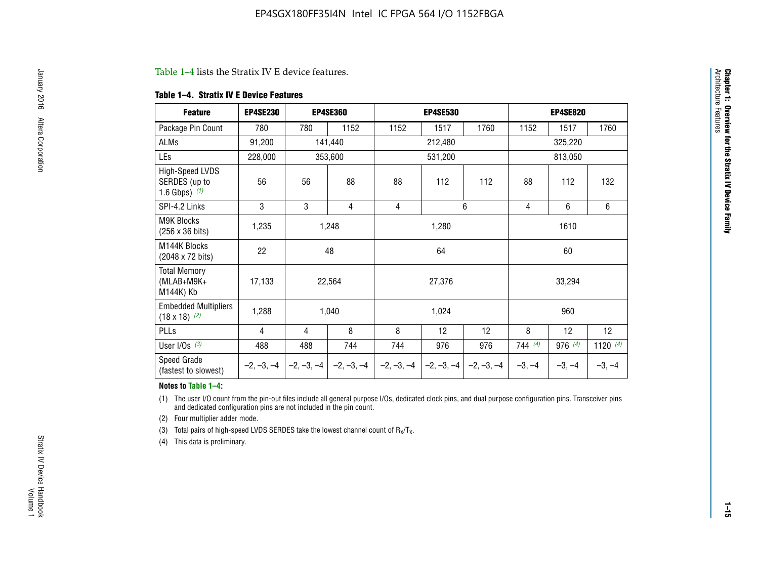#### Table 1–4 lists the Stratix IV E device features.

#### **Table 1–4. Stratix IV E Device Features**

| <b>Feature</b>                                      | <b>EP4SE230</b> |     | <b>EP4SE360</b>                        |              | <b>EP4SE530</b> |              |          | <b>EP4SE820</b> |            |
|-----------------------------------------------------|-----------------|-----|----------------------------------------|--------------|-----------------|--------------|----------|-----------------|------------|
| Package Pin Count                                   | 780             | 780 | 1152                                   | 1152         | 1517            | 1760         | 1152     | 1517            | 1760       |
| ALMs                                                | 91,200          |     | 141,440                                |              | 212,480         |              |          | 325,220         |            |
| LEs                                                 | 228,000         |     | 353,600                                |              | 531,200         |              |          | 813,050         |            |
| High-Speed LVDS<br>SERDES (up to<br>1.6 Gbps) $(1)$ | 56              | 56  | 88                                     | 88           | 112             | 112          | 88       | 112             | 132        |
| SPI-4.2 Links                                       | 3               | 3   | 4                                      | 4            |                 | 6            | 4        | 6               | 6          |
| <b>M9K Blocks</b><br>(256 x 36 bits)                | 1,235           |     | 1,248                                  |              | 1,280           |              |          | 1610            |            |
| M144K Blocks<br>(2048 x 72 bits)                    | 22              |     | 48                                     |              | 64              |              |          | 60              |            |
| <b>Total Memory</b><br>$(MLAB+M9K+$<br>M144K) Kb    | 17,133          |     | 22,564                                 |              | 27,376          |              |          | 33,294          |            |
| <b>Embedded Multipliers</b><br>$(18 \times 18)$ (2) | 1,288           |     | 1,040                                  |              | 1,024           |              |          | 960             |            |
| PLLs                                                | 4               | 4   | 8                                      | 8            | 12              | 12           | 8        | 12              | 12         |
| User I/Os $(3)$                                     | 488             | 488 | 744                                    | 744          | 976             | 976          | 744(4)   | 976 (4)         | 1120 $(4)$ |
| Speed Grade<br>(fastest to slowest)                 |                 |     | $-2, -3, -4$ $-2, -3, -4$ $-2, -3, -4$ | $-2, -3, -4$ | $-2, -3, -4$    | $-2, -3, -4$ | $-3, -4$ | $-3, -4$        | $-3, -4$   |

#### **Notes to Table 1–4:**

(1) The user I/O count from the pin-out files include all general purpose I/Os, dedicated clock pins, and dual purpose configuration pins. Transceiver pins and dedicated configuration pins are not included in the pin count.

(2) Four multiplier adder mode.

(3) Total pairs of high-speed LVDS SERDES take the lowest channel count of  $R_X/T_X$ .

(4) This data is preliminary.

**Chapter 1: Overview for the Stratix IV Device Family**

**Chapter 1: Overview for the Stratix IV Device Family**<br>Architecture Faatures

Architecture Features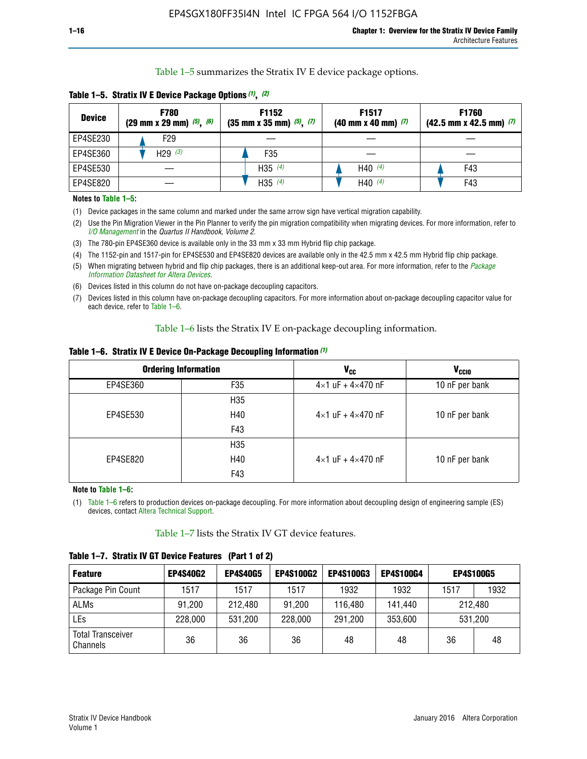Table 1–5 summarizes the Stratix IV E device package options.

| <b>Device</b> | <b>F780</b><br>$(29 \text{ mm} \times 29 \text{ mm})$ $(5)$ , $(6)$ | F1152<br>$(35 \text{ mm} \times 35 \text{ mm})$ $(5)$ $(7)$ | F <sub>1517</sub><br>$(40 \text{ mm} \times 40 \text{ mm})$ (7) | <b>F1760</b><br>$(42.5$ mm x 42.5 mm) $(7)$ |
|---------------|---------------------------------------------------------------------|-------------------------------------------------------------|-----------------------------------------------------------------|---------------------------------------------|
| EP4SE230      | F <sub>29</sub>                                                     |                                                             |                                                                 |                                             |
| EP4SE360      | H29 $(3)$                                                           | F35                                                         |                                                                 |                                             |
| EP4SE530      |                                                                     | H35 $(4)$                                                   | H40 $(4)$                                                       | F43                                         |
| EP4SE820      |                                                                     | H35 $(4)$                                                   | H40 $(4)$                                                       | F43                                         |

**Table 1–5. Stratix IV E Device Package Options** *(1)***,** *(2)*

#### **Notes to Table 1–5:**

(1) Device packages in the same column and marked under the same arrow sign have vertical migration capability.

(2) Use the Pin Migration Viewer in the Pin Planner to verify the pin migration compatibility when migrating devices. For more information, refer to *[I/O Management](http://www.altera.com/literature/hb/qts/qts_qii52013.pdf)* in the *Quartus II Handbook, Volume 2*.

(3) The 780-pin EP4SE360 device is available only in the 33 mm x 33 mm Hybrid flip chip package.

(4) The 1152-pin and 1517-pin for EP4SE530 and EP4SE820 devices are available only in the 42.5 mm x 42.5 mm Hybrid flip chip package.

(5) When migrating between hybrid and flip chip packages, there is an additional keep-out area. For more information, refer to the *[Package](http://www.altera.com/literature/ds/dspkg.pdf)  [Information Datasheet for Altera Devices](http://www.altera.com/literature/ds/dspkg.pdf)*.

(6) Devices listed in this column do not have on-package decoupling capacitors.

(7) Devices listed in this column have on-package decoupling capacitors. For more information about on-package decoupling capacitor value for each device, refer to Table 1–6.

Table 1–6 lists the Stratix IV E on-package decoupling information.

| Table 1–6. Stratix IV E Device On-Package Decoupling Information (1) |  |  |  |  |  |
|----------------------------------------------------------------------|--|--|--|--|--|
|----------------------------------------------------------------------|--|--|--|--|--|

|          | <b>Ordering Information</b> | V <sub>cc</sub>                     | <b>V<sub>CCIO</sub></b> |
|----------|-----------------------------|-------------------------------------|-------------------------|
| EP4SE360 | F <sub>35</sub>             | $4 \times 1$ uF + $4 \times 470$ nF | 10 nF per bank          |
|          | H35                         |                                     |                         |
| EP4SE530 | H40                         | $4\times1$ uF + $4\times470$ nF     | 10 nF per bank          |
|          | F43                         |                                     |                         |
|          | H35                         |                                     |                         |
| EP4SE820 | H40                         | $4\times1$ uF + $4\times470$ nF     | 10 nF per bank          |
|          | F43                         |                                     |                         |

**Note to Table 1–6:**

(1) Table 1–6 refers to production devices on-package decoupling. For more information about decoupling design of engineering sample (ES) devices, contact [Altera Technical Support](http://mysupport.altera.com/eservice/login.asp).

Table 1–7 lists the Stratix IV GT device features.

| <b>Feature</b>                       | <b>EP4S40G2</b> | <b>EP4S40G5</b> | <b>EP4S100G2</b> | <b>EP4S100G3</b> | <b>EP4S100G4</b> |         | <b>EP4S100G5</b> |
|--------------------------------------|-----------------|-----------------|------------------|------------------|------------------|---------|------------------|
| Package Pin Count                    | 1517            | 1517            | 1517             | 1932             | 1932             | 1517    | 1932             |
| <b>ALMs</b>                          | 91,200          | 212,480         | 91,200           | 116,480          | 141,440          |         | 212.480          |
| LEs                                  | 228,000         | 531,200         | 228,000          | 291,200          | 353,600          | 531,200 |                  |
| <b>Total Transceiver</b><br>Channels | 36              | 36              | 36               | 48               | 48               | 36      | 48               |

**Table 1–7. Stratix IV GT Device Features (Part 1 of 2)**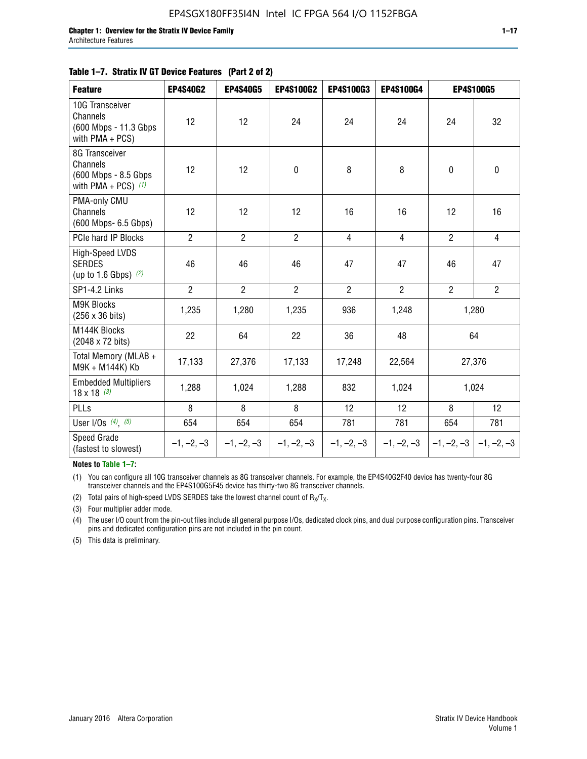| <b>Feature</b>                                                              | <b>EP4S40G2</b> | <b>EP4S40G5</b> | <b>EP4S100G2</b> | <b>EP4S100G3</b> | EP4S100G4      |                           | <b>EP4S100G5</b> |
|-----------------------------------------------------------------------------|-----------------|-----------------|------------------|------------------|----------------|---------------------------|------------------|
| 10G Transceiver<br>Channels<br>(600 Mbps - 11.3 Gbps)<br>with $PMA + PCS$ ) | 12              | 12              | 24               | 24               | 24             | 24                        | 32               |
| 8G Transceiver<br>Channels<br>(600 Mbps - 8.5 Gbps<br>with PMA + PCS) $(1)$ | 12              | 12              | $\mathbf 0$      | 8                | 8              | $\mathbf 0$               | $\mathbf 0$      |
| PMA-only CMU<br>Channels<br>(600 Mbps- 6.5 Gbps)                            | 12              | 12              | 12               | 16               | 16             | 12                        | 16               |
| PCIe hard IP Blocks                                                         | $\overline{2}$  | $\overline{2}$  | $2^{\circ}$      | 4                | $\overline{4}$ | $\overline{2}$            | $\overline{4}$   |
| High-Speed LVDS<br><b>SERDES</b><br>(up to 1.6 Gbps) $(2)$                  | 46              | 46              | 46               | 47               | 47             | 46                        | 47               |
| SP1-4.2 Links                                                               | $\overline{2}$  | $\overline{2}$  | $\overline{2}$   | $\overline{2}$   | $\overline{2}$ | $\overline{2}$            | $\overline{2}$   |
| <b>M9K Blocks</b><br>(256 x 36 bits)                                        | 1,235           | 1,280           | 1,235            | 936              | 1,248          |                           | 1,280            |
| M144K Blocks<br>(2048 x 72 bits)                                            | 22              | 64              | 22               | 36               | 48             |                           | 64               |
| Total Memory (MLAB +<br>M9K + M144K) Kb                                     | 17,133          | 27,376          | 17,133           | 17,248           | 22,564         |                           | 27,376           |
| <b>Embedded Multipliers</b><br>$18 \times 18^{(3)}$                         | 1,288           | 1,024           | 1,288            | 832              | 1,024          | 1,024                     |                  |
| PLLs                                                                        | 8               | 8               | 8                | 12               | 12             | 8                         | 12               |
| User I/Os $(4)$ , $(5)$                                                     | 654             | 654             | 654              | 781              | 781            | 654                       | 781              |
| Speed Grade<br>(fastest to slowest)                                         | $-1, -2, -3$    | $-1, -2, -3$    | $-1, -2, -3$     | $-1, -2, -3$     | $-1, -2, -3$   | $ -1, -2, -3  -1, -2, -3$ |                  |

**Notes to Table 1–7:**

(1) You can configure all 10G transceiver channels as 8G transceiver channels. For example, the EP4S40G2F40 device has twenty-four 8G transceiver channels and the EP4S100G5F45 device has thirty-two 8G transceiver channels.

(2) Total pairs of high-speed LVDS SERDES take the lowest channel count of  $R_X/T_X$ .

(3) Four multiplier adder mode.

(4) The user I/O count from the pin-out files include all general purpose I/Os, dedicated clock pins, and dual purpose configuration pins. Transceiver pins and dedicated configuration pins are not included in the pin count.

(5) This data is preliminary.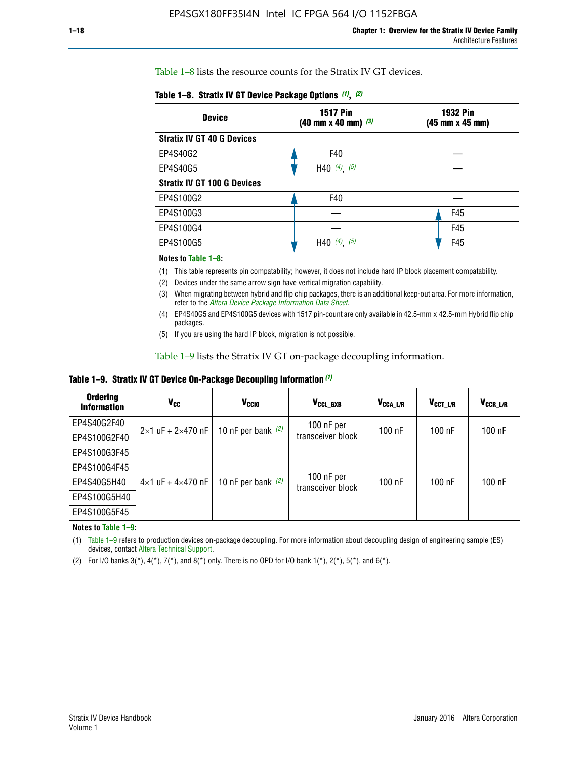Table 1–8 lists the resource counts for the Stratix IV GT devices.

|  | Table 1-8. Stratix IV GT Device Package Options (1), (2) |  |  |  |  |  |
|--|----------------------------------------------------------|--|--|--|--|--|
|--|----------------------------------------------------------|--|--|--|--|--|

| <b>Device</b>                      | <b>1517 Pin</b><br><b>1932 Pin</b><br>$(40 \text{ mm} \times 40 \text{ mm})$ $(3)$<br>(45 mm x 45 mm) |     |  |
|------------------------------------|-------------------------------------------------------------------------------------------------------|-----|--|
| <b>Stratix IV GT 40 G Devices</b>  |                                                                                                       |     |  |
| EP4S40G2                           | F40                                                                                                   |     |  |
| EP4S40G5                           | H40 $(4)$ , $(5)$                                                                                     |     |  |
| <b>Stratix IV GT 100 G Devices</b> |                                                                                                       |     |  |
| EP4S100G2                          | F40                                                                                                   |     |  |
| EP4S100G3                          |                                                                                                       | F45 |  |
| EP4S100G4                          |                                                                                                       | F45 |  |
| EP4S100G5                          | $(4)$ ,<br>(5)<br>H40                                                                                 | F45 |  |

#### **Notes to Table 1–8:**

(1) This table represents pin compatability; however, it does not include hard IP block placement compatability.

- (2) Devices under the same arrow sign have vertical migration capability.
- (3) When migrating between hybrid and flip chip packages, there is an additional keep-out area. For more information, refer to the *[Altera Device Package Information Data Sheet](http://www.altera.com/literature/ds/dspkg.pdf)*.
- (4) EP4S40G5 and EP4S100G5 devices with 1517 pin-count are only available in 42.5-mm x 42.5-mm Hybrid flip chip packages.
- (5) If you are using the hard IP block, migration is not possible.

Table 1–9 lists the Stratix IV GT on-package decoupling information.

**Table 1–9. Stratix IV GT Device On-Package Decoupling Information** *(1)*

| <b>Ordering</b><br><b>Information</b> | Vcc                                 | <b>V<sub>CCIO</sub></b> | V <sub>CCL GXB</sub>            | V <sub>CCA L/R</sub> | V <sub>CCT L/R</sub> | V <sub>CCR_L/R</sub> |
|---------------------------------------|-------------------------------------|-------------------------|---------------------------------|----------------------|----------------------|----------------------|
| EP4S40G2F40                           | $2 \times 1$ uF + $2 \times 470$ nF | 10 nF per bank $(2)$    | 100 nF per<br>transceiver block | $100$ nF             | $100$ nF             | 100 nF               |
| EP4S100G2F40                          |                                     |                         |                                 |                      |                      |                      |
| EP4S100G3F45                          |                                     | 10 nF per bank $(2)$    | 100 nF per<br>transceiver block | $100$ nF             | $100$ nF             | $100$ nF             |
| EP4S100G4F45                          |                                     |                         |                                 |                      |                      |                      |
| EP4S40G5H40                           | $4\times1$ uF + $4\times470$ nF     |                         |                                 |                      |                      |                      |
| EP4S100G5H40                          |                                     |                         |                                 |                      |                      |                      |
| EP4S100G5F45                          |                                     |                         |                                 |                      |                      |                      |

**Notes to Table 1–9:**

(1) Table 1–9 refers to production devices on-package decoupling. For more information about decoupling design of engineering sample (ES) devices, contact [Altera Technical Support](http://mysupport.altera.com/eservice/login.asp).

(2) For I/O banks  $3(*)$ ,  $4(*)$ ,  $7(*)$ , and  $8(*)$  only. There is no OPD for I/O bank  $1(*)$ ,  $2(*)$ ,  $5(*)$ , and  $6(*)$ .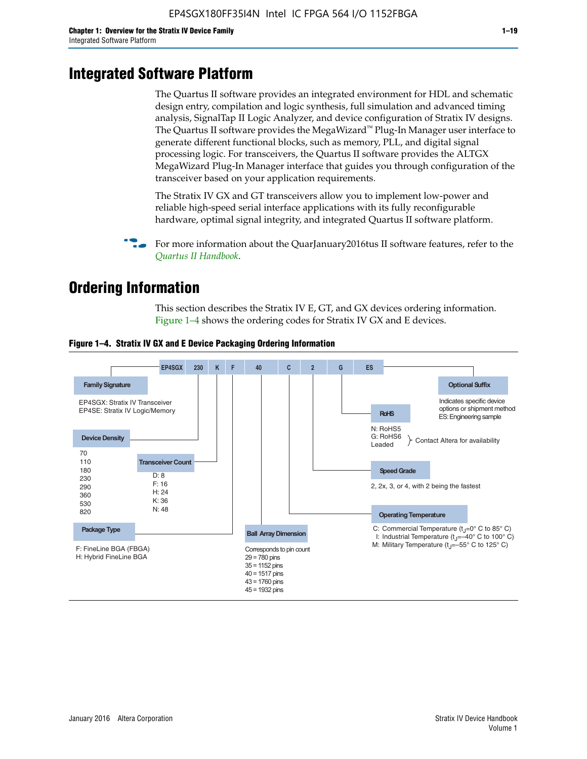# **Integrated Software Platform**

The Quartus II software provides an integrated environment for HDL and schematic design entry, compilation and logic synthesis, full simulation and advanced timing analysis, SignalTap II Logic Analyzer, and device configuration of Stratix IV designs. The Quartus II software provides the MegaWizard<sup> $M$ </sup> Plug-In Manager user interface to generate different functional blocks, such as memory, PLL, and digital signal processing logic. For transceivers, the Quartus II software provides the ALTGX MegaWizard Plug-In Manager interface that guides you through configuration of the transceiver based on your application requirements.

The Stratix IV GX and GT transceivers allow you to implement low-power and reliable high-speed serial interface applications with its fully reconfigurable hardware, optimal signal integrity, and integrated Quartus II software platform.

For more information about the QuarJanuary2016tus II software features, refer to the *[Quartus II Handbook](http://www.altera.com/literature/lit-qts.jsp)*.

# **Ordering Information**

This section describes the Stratix IV E, GT, and GX devices ordering information. Figure 1–4 shows the ordering codes for Stratix IV GX and E devices.



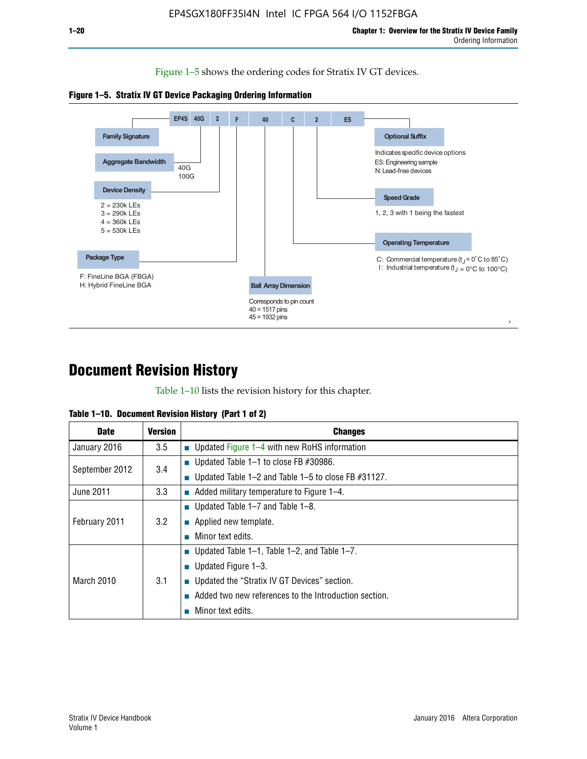Figure 1–5 shows the ordering codes for Stratix IV GT devices.





# **Document Revision History**

Table 1–10 lists the revision history for this chapter.

| Table 1–10. Document Revision History (Part 1 of 2) |  |  |  |  |  |
|-----------------------------------------------------|--|--|--|--|--|
|-----------------------------------------------------|--|--|--|--|--|

| <b>Date</b>       | Version | <b>Changes</b>                                         |
|-------------------|---------|--------------------------------------------------------|
| January 2016      | 3.5     | <b>Updated Figure 1–4 with new RoHS information</b>    |
| September 2012    | 3.4     | ■ Updated Table 1–1 to close FB $#30986$ .             |
|                   |         | Updated Table 1–2 and Table 1–5 to close FB $#31127$ . |
| June 2011         | 3.3     | Added military temperature to Figure 1–4.              |
| February 2011     |         | ■ Updated Table 1–7 and Table 1–8.                     |
|                   | 3.2     | $\blacksquare$ Applied new template.                   |
|                   |         | Minor text edits.                                      |
|                   |         | <b>Updated Table 1–1, Table 1–2, and Table 1–7.</b>    |
| <b>March 2010</b> | 3.1     | ■ Updated Figure $1-3$ .                               |
|                   |         | ■ Updated the "Stratix IV GT Devices" section.         |
|                   |         | Added two new references to the Introduction section.  |
|                   |         | Minor text edits.                                      |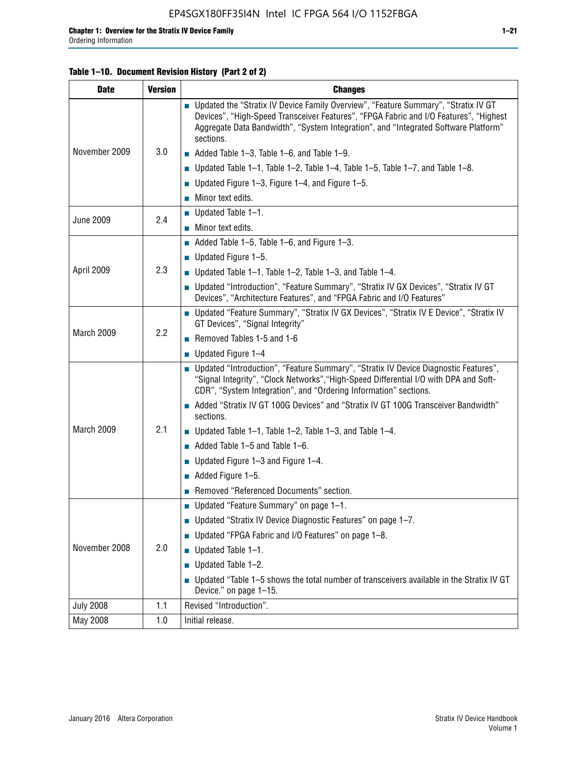## **Table 1–10. Document Revision History (Part 2 of 2)**

| <b>Date</b>      | <b>Version</b> | <b>Changes</b>                                                                                                                                                                                                                                                                    |  |  |
|------------------|----------------|-----------------------------------------------------------------------------------------------------------------------------------------------------------------------------------------------------------------------------------------------------------------------------------|--|--|
|                  |                | ■ Updated the "Stratix IV Device Family Overview", "Feature Summary", "Stratix IV GT<br>Devices", "High-Speed Transceiver Features", "FPGA Fabric and I/O Features", "Highest<br>Aggregate Data Bandwidth", "System Integration", and "Integrated Software Platform"<br>sections. |  |  |
| November 2009    | 3.0            | $\blacksquare$ Added Table 1-3, Table 1-6, and Table 1-9.                                                                                                                                                                                                                         |  |  |
|                  |                | $\blacksquare$ Updated Table 1-1, Table 1-2, Table 1-4, Table 1-5, Table 1-7, and Table 1-8.                                                                                                                                                                                      |  |  |
|                  |                | ■ Updated Figure 1–3, Figure 1–4, and Figure 1–5.                                                                                                                                                                                                                                 |  |  |
|                  |                | $\blacksquare$ Minor text edits.                                                                                                                                                                                                                                                  |  |  |
| <b>June 2009</b> | 2.4            | $\blacksquare$ Updated Table 1-1.                                                                                                                                                                                                                                                 |  |  |
|                  |                | $\blacksquare$ Minor text edits.                                                                                                                                                                                                                                                  |  |  |
|                  |                | Added Table $1-5$ , Table $1-6$ , and Figure $1-3$ .                                                                                                                                                                                                                              |  |  |
|                  |                | $\blacksquare$ Updated Figure 1-5.                                                                                                                                                                                                                                                |  |  |
| April 2009       | 2.3            | ■ Updated Table 1–1, Table 1–2, Table 1–3, and Table 1–4.                                                                                                                                                                                                                         |  |  |
|                  |                | ■ Updated "Introduction", "Feature Summary", "Stratix IV GX Devices", "Stratix IV GT<br>Devices", "Architecture Features", and "FPGA Fabric and I/O Features"                                                                                                                     |  |  |
|                  | 2.2            | ■ Updated "Feature Summary", "Stratix IV GX Devices", "Stratix IV E Device", "Stratix IV<br>GT Devices", "Signal Integrity"                                                                                                                                                       |  |  |
| March 2009       |                | Removed Tables 1-5 and 1-6                                                                                                                                                                                                                                                        |  |  |
|                  |                | $\blacksquare$ Updated Figure 1-4                                                                                                                                                                                                                                                 |  |  |
|                  |                | ■ Updated "Introduction", "Feature Summary", "Stratix IV Device Diagnostic Features",<br>"Signal Integrity", "Clock Networks", "High-Speed Differential I/O with DPA and Soft-<br>CDR", "System Integration", and "Ordering Information" sections.                                |  |  |
|                  |                | Added "Stratix IV GT 100G Devices" and "Stratix IV GT 100G Transceiver Bandwidth"<br>sections.                                                                                                                                                                                    |  |  |
| March 2009       | 2.1            | ■ Updated Table 1–1, Table 1–2, Table 1–3, and Table 1–4.                                                                                                                                                                                                                         |  |  |
|                  |                | $\blacksquare$ Added Table 1-5 and Table 1-6.                                                                                                                                                                                                                                     |  |  |
|                  |                | ■ Updated Figure $1-3$ and Figure $1-4$ .                                                                                                                                                                                                                                         |  |  |
|                  |                | $\blacksquare$ Added Figure 1-5.                                                                                                                                                                                                                                                  |  |  |
|                  |                | Removed "Referenced Documents" section.                                                                                                                                                                                                                                           |  |  |
|                  |                | Updated "Feature Summary" on page 1-1.                                                                                                                                                                                                                                            |  |  |
|                  |                | ■ Updated "Stratix IV Device Diagnostic Features" on page 1-7.                                                                                                                                                                                                                    |  |  |
| November 2008    |                | Updated "FPGA Fabric and I/O Features" on page 1-8.                                                                                                                                                                                                                               |  |  |
|                  | 2.0            | $\blacksquare$ Updated Table 1-1.                                                                                                                                                                                                                                                 |  |  |
|                  |                | Updated Table 1-2.<br>П                                                                                                                                                                                                                                                           |  |  |
|                  |                | Updated "Table 1-5 shows the total number of transceivers available in the Stratix IV GT<br>Device." on page 1-15.                                                                                                                                                                |  |  |
| <b>July 2008</b> | 1.1            | Revised "Introduction".                                                                                                                                                                                                                                                           |  |  |
| May 2008         | 1.0            | Initial release.                                                                                                                                                                                                                                                                  |  |  |